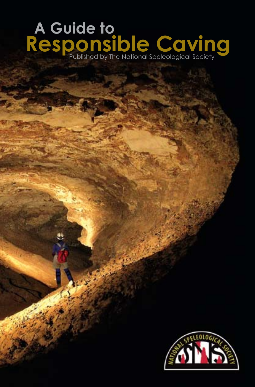# ١ Published by The National Speleological Society **A Guide to Responsible Caving**

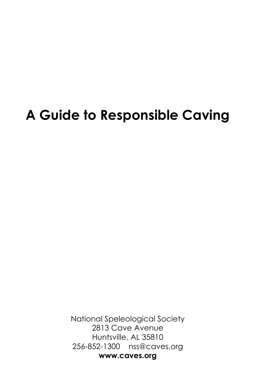# **A Guide to Responsible Caving**

National Speleological Society 2813 Cave Avenue Huntsville, AL 35810 256-852-1300 nss@caves.org **www.caves.org**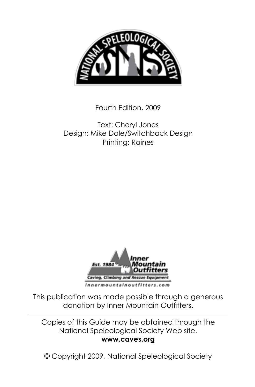

Fourth Edition, 2009

# Text: Cheryl Jones Design: Mike Dale/Switchback Design Printing: Raines



This publication was made possible through a generous donation by Inner Mountain Outfitters.

Copies of this Guide may be obtained through the National Speleological Society Web site. **www.caves.org**

© Copyright 2009, National Speleological Society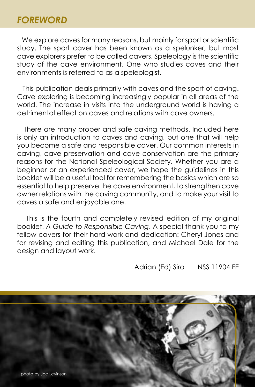# *FOREWORD*

We explore caves for many reasons, but mainly for sport or scientific study. The sport caver has been known as a spelunker, but most cave explorers prefer to be called cavers. Speleology is the scientific study of the cave environment. One who studies caves and their environments is referred to as a speleologist.

 This publication deals primarily with caves and the sport of caving. Cave exploring is becoming increasingly popular in all areas of the world. The increase in visits into the underground world is having a detrimental effect on caves and relations with cave owners.

 There are many proper and safe caving methods. Included here is only an introduction to caves and caving, but one that will help you become a safe and responsible caver. Our common interests in caving, cave preservation and cave conservation are the primary reasons for the National Speleological Society. Whether you are a beginner or an experienced caver, we hope the guidelines in this booklet will be a useful tool for remembering the basics which are so essential to help preserve the cave environment, to strengthen cave owner relations with the caving community, and to make your visit to caves a safe and enjoyable one.

 This is the fourth and completely revised edition of my original booklet, *A Guide to Responsible Caving*. A special thank you to my fellow cavers for their hard work and dedication: Cheryl Jones and for revising and editing this publication, and Michael Dale for the design and layout work.

Adrian (Ed) Sira NSS 11904 FE

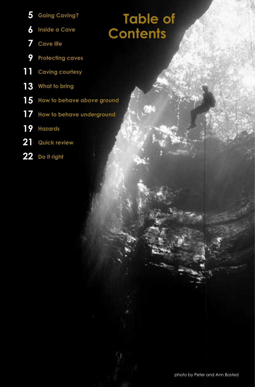- **Going Caving? 5**
- **Inside a Cave 6**
- **Cave life 7**
- **Protecting caves 9**
- **Caving courtesy 11**
- **What to bring 13**
- **How to behave** *above* **ground 15**
- **How to behave** *under***ground 17**
- **Hazards 19**
- **Quick review 21**
- **Do it right 22**

# **Table of Contents**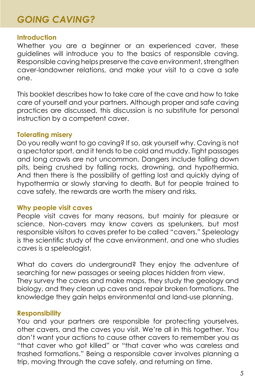# *GOING CAVING?*

### **Introduction**

Whether you are a beginner or an experienced caver, these guidelines will introduce you to the basics of responsible caving. Responsible caving helps preserve the cave environment, strengthen caver-landowner relations, and make your visit to a cave a safe one.

This booklet describes how to take care of the cave and how to take care of yourself and your partners. Although proper and safe caving practices are discussed, this discussion is no substitute for personal instruction by a competent caver.

#### **Tolerating misery**

Do you really want to go caving? If so, ask yourself why. Caving is not a spectator sport, and it tends to be cold and muddy. Tight passages and long crawls are not uncommon. Dangers include falling down pits, being crushed by falling rocks, drowning, and hypothermia. And then there is the possibility of getting lost and quickly dying of hypothermia or slowly starving to death. But for people trained to cave safely, the rewards are worth the misery and risks.

#### **Why people visit caves**

People visit caves for many reasons, but mainly for pleasure or science. Non-cavers may know cavers as spelunkers, but most responsible visitors to caves prefer to be called "cavers." Speleology is the scientific study of the cave environment, and one who studies caves is a speleologist.

What do cavers do underground? They enjoy the adventure of searching for new passages or seeing places hidden from view. They survey the caves and make maps, they study the geology and biology, and they clean up caves and repair broken formations. The knowledge they gain helps environmental and land-use planning.

#### **Responsibility**

You and your partners are responsible for protecting yourselves, other cavers, and the caves you visit. We're all in this together. You don't want your actions to cause other cavers to remember you as "that caver who got killed" or "that caver who was careless and trashed formations." Being a responsible caver involves planning a trip, moving through the cave safely, and returning on time.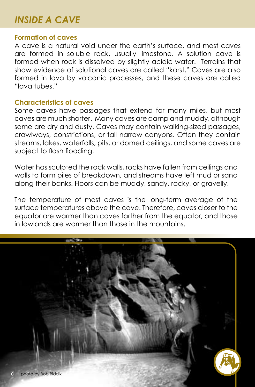# *INSIDE A CAVE*

#### **Formation of caves**

A cave is a natural void under the earth's surface, and most caves are formed in soluble rock, usually limestone. A solution cave is formed when rock is dissolved by slightly acidic water. Terrains that show evidence of solutional caves are called "karst." Caves are also formed in lava by volcanic processes, and these caves are called "lava tubes."

#### **Characteristics of caves**

Some caves have passages that extend for many miles*,* but most caves are much shorter. Many caves are damp and muddy, although some are dry and dusty. Caves may contain walking-sized passages, crawlways, constrictions, or tall narrow canyons. Often they contain streams, lakes, waterfalls, pits, or domed ceilings, and some caves are subject to flash flooding.

Water has sculpted the rock walls, rocks have fallen from ceilings and walls to form piles of breakdown, and streams have left mud or sand along their banks. Floors can be muddy, sandy, rocky, or gravelly.

The temperature of most caves is the long-term average of the surface temperatures above the cave. Therefore, caves closer to the equator are warmer than caves farther from the equator, and those in lowlands are warmer than those in the mountains.

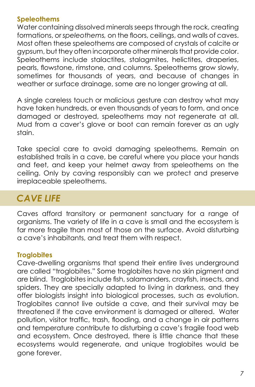#### **Speleothems**

Water containing dissolved minerals seeps through the rock, creating formations, or *speleothems,* on the floors, ceilings, and walls of caves. Most often these speleothems are composed of crystals of calcite or gypsum, but they often incorporate other minerals that provide color. Speleothems include stalactites, stalagmites, helictites, draperies, pearls, flowstone, rimstone, and columns. Speleothems grow slowly, sometimes for thousands of years, and because of changes in weather or surface drainage, some are no longer growing at all.

A single careless touch or malicious gesture can destroy what may have taken hundreds, or even thousands of years to form, and once damaged or destroyed, speleothems may not regenerate at all. Mud from a caver's glove or boot can remain forever as an ugly stain.

Take special care to avoid damaging speleothems. Remain on established trails in a cave, be careful where you place your hands and feet, and keep your helmet away from speleothems on the ceiling. Only by caving responsibly can we protect and preserve irreplaceable speleothems.

# *CAVE LIFE*

Caves afford transitory or permanent sanctuary for a range of organisms. The variety of life in a cave is small and the ecosystem is far more fragile than most of those on the surface. Avoid disturbing a cave's inhabitants, and treat them with respect.

# **Troglobites**

Cave-dwelling organisms that spend their entire lives underground are called "troglobites." Some troglobites have no skin pigment and are blind. Troglobites include fish, salamanders, crayfish, insects, and spiders. They are specially adapted to living in darkness, and they offer biologists insight into biological processes, such as evolution. Troglobites cannot live outside a cave, and their survival may be threatened if the cave environment is damaged or altered. Water pollution, visitor traffic, trash, flooding, and a change in air patterns and temperature contribute to disturbing a cave's fragile food web and ecosystem. Once destroyed, there is little chance that these ecosystems would regenerate, and unique troglobites would be aone forever.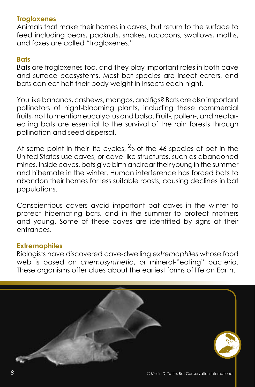### **Trogloxenes**

Animals that make their homes in caves, but return to the surface to feed including bears, packrats, snakes, raccoons, swallows, moths, and foxes are called "trogloxenes."

#### **Bats**

Bats are trogloxenes too, and they play important roles in both cave and surface ecosystems. Most bat species are insect eaters, and bats can eat half their body weight in insects each night.

You like bananas, cashews, mangos, and figs? Bats are also important pollinators of night-blooming plants, including these commercial fruits, not to mention eucalyptus and balsa. Fruit-, pollen-, and nectareating bats are essential to the survival of the rain forests through pollination and seed dispersal.

At some point in their life cycles,  $\frac{2}{3}$  of the 46 species of bat in the United States use caves, or cave-like structures, such as abandoned mines. Inside caves, bats give birth and rear their young in the summer and hibernate in the winter. Human interference has forced bats to abandon their homes for less suitable roosts, causing declines in bat populations.

Conscientious cavers avoid important bat caves in the winter to protect hibernating bats, and in the summer to protect mothers and young. Some of these caves are identified by signs at their entrances.

## **Extremophiles**

Biologists have discovered cave-dwelling *extremophiles* whose food web is based on *chemosynthetic*, or mineral-"eating" bacteria. These organisms offer clues about the earliest forms of life on Earth.

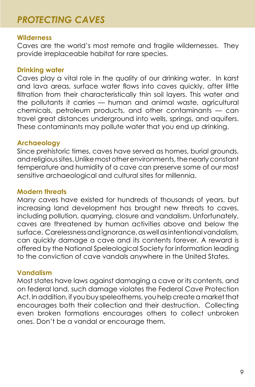# *PROTECTING CAVES*

#### **Wilderness**

Caves are the world's most remote and fragile wildernesses. They provide irreplaceable habitat for rare species.

#### **Drinking water**

Caves play a vital role in the quality of our drinking water. In karst and lava areas, surface water flows into caves quickly, after little filtration from their characteristically thin soil layers. This water and the pollutants it carries — human and animal waste, agricultural chemicals, petroleum products, and other contaminants — can travel great distances underground into wells, springs, and aquifers. These contaminants may pollute water that you end up drinking.

#### **Archaeology**

Since prehistoric times, caves have served as homes, burial grounds, and religious sites. Unlike most other environments, the nearly constant temperature and humidity of a cave can preserve some of our most sensitive archaeological and cultural sites for millennia.

# **Modern threats**

Many caves have existed for hundreds of thousands of years, but increasing land development has brought new threats to caves, including pollution, quarrying, closure and vandalism. Unfortunately, caves are threatened by human activities above and below the surface. Carelessness and ignorance, as well as intentional vandalism, can quickly damage a cave and its contents forever. A reward is offered by the National Speleological Society for information leading to the conviction of cave vandals anywhere in the United States.

## **Vandalism**

Most states have laws against damaging a cave or its contents, and on federal land, such damage violates the Federal Cave Protection Act. In addition, if you buy speleothems, you help create a market that encourages both their collection and their destruction. Collecting even broken formations encourages others to collect unbroken ones. Don't be a vandal or encourage them.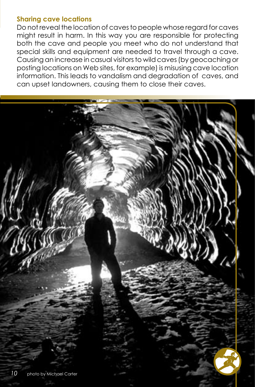#### **Sharing cave locations**

Do not reveal the location of caves to people whose regard for caves might result in harm. In this way you are responsible for protecting both the cave and people you meet who do not understand that special skills and equipment are needed to travel through a cave. Causing an increase in casual visitors to wild caves (by geocaching or posting locations on Web sites, for example) is misusing cave location information. This leads to vandalism and degradation of caves, and can upset landowners, causing them to close their caves.

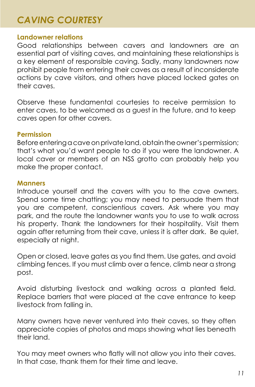# *CAVING COURTESY*

#### **Landowner relations**

Good relationships between cavers and landowners are an essential part of visiting caves, and maintaining these relationships is a key element of responsible caving. Sadly, many landowners now prohibit people from entering their caves as a result of inconsiderate actions by cave visitors, and others have placed locked gates on their caves.

Observe these fundamental courtesies to receive permission to enter caves, to be welcomed as a guest in the future, and to keep caves open for other cavers.

#### **Permission**

Before entering a cave on private land, obtain the owner's permission; that's what you'd want people to do if you were the landowner. A local caver or members of an NSS grotto can probably help you make the proper contact.

#### **Manners**

Introduce yourself and the cavers with you to the cave owners. Spend some time chatting; you may need to persuade them that you are competent, conscientious cavers. Ask where you may park, and the route the landowner wants you to use to walk across his property. Thank the landowners for their hospitality. Visit them again after returning from their cave, unless it is after dark. Be quiet, especially at night.

Open or closed, leave gates as you find them. Use gates, and avoid climbing fences. If you must climb over a fence, climb near a strong post.

Avoid disturbing livestock and walking across a planted field. Replace barriers that were placed at the cave entrance to keep livestock from falling in.

Many owners have never ventured into their caves, so they often appreciate copies of photos and maps showing what lies beneath their land.

You may meet owners who flatly will not allow you into their caves. In that case, thank them for their time and leave.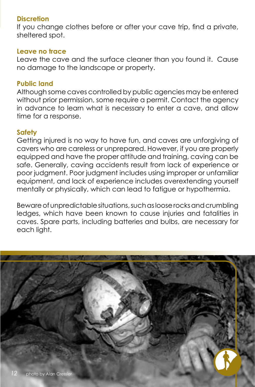#### **Discretion**

If you change clothes before or after your cave trip, find a private, sheltered spot.

#### **Leave no trace**

Leave the cave and the surface cleaner than you found it. Cause no damage to the landscape or property.

#### **Public land**

Although some caves controlled by public agencies may be entered without prior permission, some require a permit. Contact the agency in advance to learn what is necessary to enter a cave, and allow time for a response.

#### **Safety**

Getting injured is no way to have fun, and caves are unforgiving of cavers who are careless or unprepared. However, if you are properly equipped and have the proper attitude and training, caving can be safe. Generally, caving accidents result from lack of experience or poor judgment. Poor judgment includes using improper or unfamiliar equipment, and lack of experience includes overextending yourself mentally or physically, which can lead to fatigue or hypothermia.

Beware of unpredictable situations, such as loose rocks and crumbling ledges, which have been known to cause injuries and fatalities in caves. Spare parts, including batteries and bulbs, are necessary for each light.

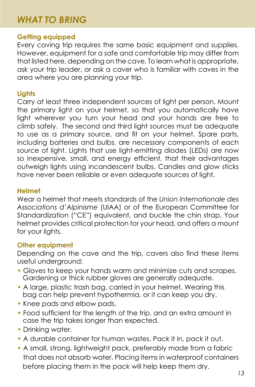# *WHAT TO BRING*

## **Getting equipped**

Every caving trip requires the same basic equipment and supplies. However, equipment for a safe and comfortable trip may differ from that listed here, depending on the cave. To learn what is appropriate, ask your trip leader, or ask a caver who is familiar with caves in the area where you are planning your trip.

## **Lights**

Carry at least three independent sources of light per person. Mount the primary light on your helmet, so that you automatically have light wherever you turn your head and your hands are free to climb safely. The second and third light sources must be adequate to use as a primary source, and fit on your helmet. Spare parts, including batteries and bulbs, are necessary components of each source of light. Lights that use light-emitting diodes (LEDs) are now so inexpensive, small, and energy efficient, that their advantages outweigh lights using incandescent bulbs. Candles and glow sticks have never been reliable or even adequate sources of light.

## **Helmet**

Wear a helmet that meets standards of the *Union Internationale des Associations d'Alpinisme* (UIAA) or of the European Committee for Standardization ("CE") equivalent, and buckle the chin strap. Your helmet provides critical protection for your head, and offers a mount for your liahts.

## **Other equipment**

Depending on the cave and the trip, cavers also find these items useful underground:

- Gloves to keep your hands warm and minimize cuts and scrapes. Gardening or thick rubber gloves are generally adequate.
- A large, plastic trash bag, carried in your helmet. Wearing this bag can help prevent hypothermia, or it can keep you dry.
- Knee pads and elbow pads.
- Food sufficient for the length of the trip, and an extra amount in case the trip takes longer than expected.
- Drinking water.
- A durable container for human wastes. Pack it in, pack it out.
- A small, strong, lightweight pack, preferably made from a fabric that does not absorb water. Placing items in waterproof containers before placing them in the pack will help keep them dry.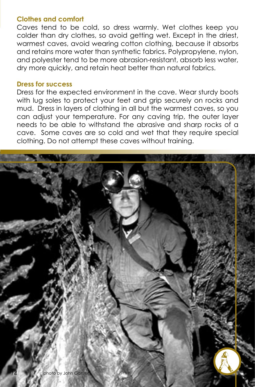#### **Clothes and comfort**

Caves tend to be cold, so dress warmly. Wet clothes keep you colder than dry clothes, so avoid getting wet. Except in the driest, warmest caves, avoid wearing cotton clothing, because it absorbs and retains more water than synthetic fabrics. Polypropylene, nylon, and polyester tend to be more abrasion-resistant, absorb less water, dry more quickly, and retain heat better than natural fabrics.

#### **Dress for success**

Dress for the expected environment in the cave. Wear sturdy boots with lug soles to protect your feet and grip securely on rocks and mud. Dress in layers of clothing in all but the warmest caves, so you can adjust your temperature. For any caving trip, the outer layer needs to be able to withstand the abrasive and sharp rocks of a cave. Some caves are so cold and wet that they require special clothing. Do not attempt these caves without training.

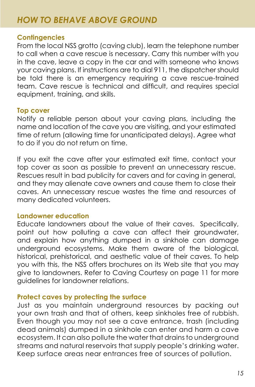#### **Contingencies**

From the local NSS grotto (caving club), learn the telephone number to call when a cave rescue is necessary. Carry this number with you in the cave, leave a copy in the car and with someone who knows your caving plans. If instructions are to dial 911, the dispatcher should be told there is an emergency requiring a cave rescue-trained team. Cave rescue is technical and difficult, and requires special equipment, training, and skills.

#### **Top cover**

Notify a reliable person about your caving plans, including the name and location of the cave you are visiting, and your estimated time of return (allowing time for unanticipated delays). Agree what to do if you do not return on time.

If you exit the cave after your estimated exit time, contact your top cover as soon as possible to prevent an unnecessary rescue. Rescues result in bad publicity for cavers and for caving in general, and they may alienate cave owners and cause them to close their caves. An unnecessary rescue wastes the time and resources of many dedicated volunteers.

## **Landowner education**

Educate landowners about the value of their caves. Specifically, point out how polluting a cave can affect their groundwater, and explain how anything dumped in a sinkhole can damage underground ecosystems. Make them aware of the biological, historical, prehistorical, and aesthetic value of their caves. To help you with this, the NSS offers brochures on its Web site that you may give to landowners. Refer to Caving Courtesy on page 11 for more guidelines for landowner relations.

#### **Protect caves by protecting the surface**

Just as you maintain underground resources by packing out your own trash and that of others, keep sinkholes free of rubbish. Even though you may not see a cave entrance, trash (including dead animals) dumped in a sinkhole can enter and harm a cave ecosystem. It can also pollute the water that drains to underground streams and natural reservoirs that supply people's drinking water. Keep surface areas near entrances free of sources of pollution.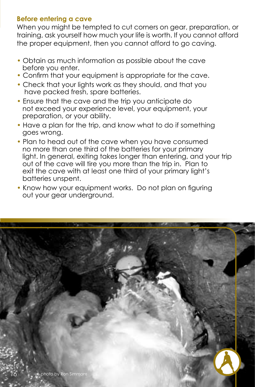# **Before entering a cave**

When you might be tempted to cut corners on gear, preparation, or training, ask yourself how much your life is worth. If you cannot afford the proper equipment, then you cannot afford to go caving.

- Obtain as much information as possible about the cave before you enter.
- Confirm that your equipment is appropriate for the cave.
- Check that your lights work as they should, and that you have packed fresh, spare batteries.
- Ensure that the cave and the trip you anticipate do not exceed your experience level, your equipment, your preparation, or your ability.
- Have a plan for the trip, and know what to do if something goes wrong.
- Plan to head out of the cave when you have consumed no more than one third of the batteries for your primary light. In general, exiting takes longer than entering, and your trip out of the cave will tire you more than the trip in. Plan to exit the cave with at least one third of your primary light's batteries unspent.
- Know how your equipment works. Do not plan on figuring out your gear underground.

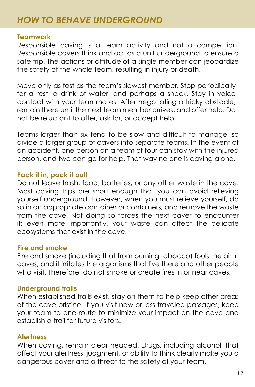# *HOW TO BEHAVE UNDERGROUND*

#### **Teamwork**

Responsible caving is a team activity and not a competition. Responsible cavers think and act as a unit underground to ensure a safe trip. The actions or attitude of a single member can jeopardize the safety of the whole team, resulting in injury or death.

Move only as fast as the team's slowest member. Stop periodically for a rest, a drink of water, and perhaps a snack. Stay in voice contact with your teammates. After negotiating a tricky obstacle, remain there until the next team member arrives, and offer help. Do not be reluctant to offer, ask for, or accept help.

Teams larger than six tend to be slow and difficult to manage, so divide a larger group of cavers into separate teams. In the event of an accident, one person on a team of four can stay with the injured person, and two can go for help. That way no one is caving alone.

#### **Pack it in, pack it out!**

Do not leave trash, food, batteries, or any other waste in the cave. Most caving trips are short enough that you can avoid relieving yourself underground. However, when you must relieve yourself, do so in an appropriate container or containers, and remove the waste from the cave. Not doing so forces the next caver to encounter it; even more importantly, your waste can affect the delicate ecosystems that exist in the cave.

#### **Fire and smoke**

Fire and smoke (including that from burning tobacco) fouls the air in caves, and it irritates the organisms that live there and other people who visit. Therefore, do not smoke or create fires in or near caves.

#### **Underground trails**

When established trails exist, stay on them to help keep other areas of the cave pristine. If you visit new or less-traveled passages, keep your team to one route to minimize your impact on the cave and establish a trail for future visitors.

## **Alertness**

When caving, remain clear headed. Drugs, including alcohol, that affect your alertness, judgment, or ability to think clearly make you a dangerous caver and a threat to the safety of your team.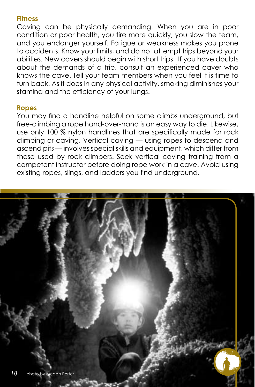### **Fitness**

Caving can be physically demanding. When you are in poor condition or poor health, you tire more quickly, you slow the team, and you endanger yourself. Fatigue or weakness makes you prone to accidents. Know your limits, and do not attempt trips beyond your abilities. New cavers should begin with short trips. If you have doubts about the demands of a trip, consult an experienced caver who knows the cave. Tell your team members when you feel it is time to turn back. As it does in any physical activity, smoking diminishes your stamina and the efficiency of your lungs.

#### **Ropes**

You may find a handline helpful on some climbs underground, but free-climbing a rope hand-over-hand is an easy way to die. Likewise, use only 100 % nylon handlines that are specifically made for rock climbing or caving. Vertical caving — using ropes to descend and ascend pits — involves special skills and equipment, which differ from those used by rock climbers. Seek vertical caving training from a competent instructor before doing rope work in a cave. Avoid using existing ropes, slings, and ladders you find underground.

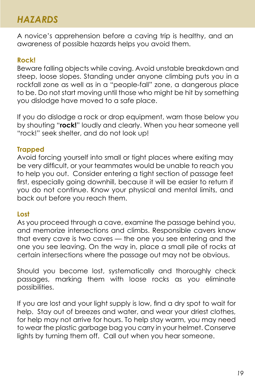# *HAZARDS*

A novice's apprehension before a caving trip is healthy, and an awareness of possible hazards helps you avoid them.

### **Rock!**

Beware falling objects while caving. Avoid unstable breakdown and steep, loose slopes. Standing under anyone climbing puts you in a rockfall zone as well as in a "people-fall" zone, a dangerous place to be. Do not start moving until those who might be hit by something you dislodge have moved to a safe place.

If you do dislodge a rock or drop equipment, warn those below you by shouting "**rock!**" loudly and clearly. When you hear someone yell "rock!" seek shelter, and do not look up!

#### **Trapped**

Avoid forcing yourself into small or tight places where exiting may be very difficult, or your teammates would be unable to reach you to help you out. Consider entering a tight section of passage feet first, especially going downhill, because it will be easier to return if you do not continue. Know your physical and mental limits, and back out before you reach them.

#### **Lost**

As you proceed through a cave, examine the passage behind you, and memorize intersections and climbs. Responsible cavers know that every cave is two caves — the one you see entering and the one you see leaving. On the way in, place a small pile of rocks at certain intersections where the passage out may not be obvious.

Should you become lost, systematically and thoroughly check passages, marking them with loose rocks as you eliminate possibilities.

If you are lost and your light supply is low, find a dry spot to wait for help. Stay out of breezes and water, and wear your driest clothes, for help may not arrive for hours. To help stay warm, you may need to wear the plastic garbage bag you carry in your helmet. Conserve lights by turning them off. Call out when you hear someone.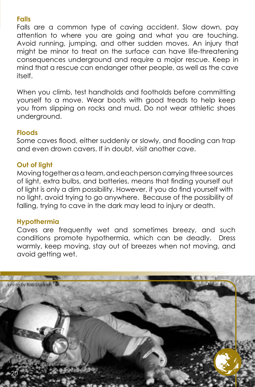#### **Falls**

Falls are a common type of caving accident. Slow down, pay attention to where you are going and what you are touching. Avoid running, jumping, and other sudden moves. An injury that might be minor to treat on the surface can have life-threatening consequences underground and require a major rescue. Keep in mind that a rescue can endanger other people, as well as the cave itself.

When you climb, test handholds and footholds before committing yourself to a move. Wear boots with good treads to help keep you from slipping on rocks and mud. Do not wear athletic shoes underground.

# **Floods**

Some caves flood, either suddenly or slowly, and flooding can trap and even drown cavers. If in doubt, visit another cave.

# **Out of light**

Moving together as a team, and each person carrying three sources of light, extra bulbs, and batteries, means that finding yourself out of light is only a dim possibility. However, if you do find yourself with no light, avoid trying to go anywhere. Because of the possibility of falling, trying to cave in the dark may lead to injury or death.

# **Hypothermia**

Caves are frequently wet and sometimes breezy, and such conditions promote hypothermia, which can be deadly. Dress warmly, keep moving, stay out of breezes when not moving, and avoid getting wet.

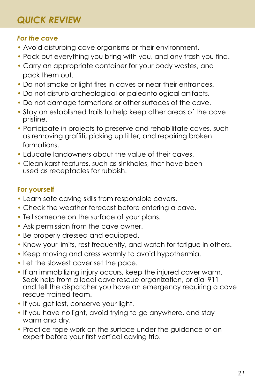# *QUICK REVIEW*

# *For the cave*

- Avoid disturbing cave organisms or their environment.
- Pack out everything you bring with you, and any trash you find.
- Carry an appropriate container for your body wastes, and pack them out.
- Do not smoke or light fires in caves or near their entrances.
- Do not disturb archeological or paleontological artifacts.
- Do not damage formations or other surfaces of the cave.
- Stay on established trails to help keep other areas of the cave pristine.
- Participate in projects to preserve and rehabilitate caves, such as removing graffiti, picking up litter, and repairing broken formations.
- Educate landowners about the value of their caves.
- Clean karst features, such as sinkholes, that have been used as receptacles for rubbish.

# **For yourself**

- Learn safe caving skills from responsible cavers.
- Check the weather forecast before entering a cave.
- Tell someone on the surface of your plans.
- Ask permission from the cave owner.
- Be properly dressed and equipped.
- Know your limits, rest frequently, and watch for fatigue in others.
- Keep moving and dress warmly to avoid hypothermia.
- Let the slowest caver set the pace.
- If an immobilizing injury occurs, keep the injured caver warm. Seek help from a local cave rescue organization, or dial 911 and tell the dispatcher you have an emergency requiring a cave rescue-trained team.
- If you get lost, conserve your light.
- If you have no light, avoid trying to go anywhere, and stay warm and dry.
- Practice rope work on the surface under the guidance of an expert before your first vertical caving trip.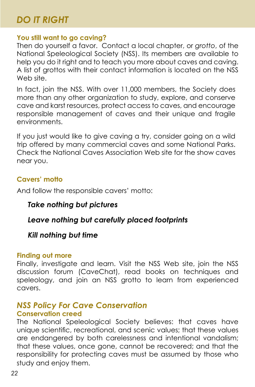# *DO IT RIGHT*

### **You still want to go caving?**

Then do yourself a favor. Contact a local chapter, or *grotto*, of the National Speleological Society (NSS). Its members are available to help you do it right and to teach you more about caves and caving. A list of grottos with their contact information is located on the NSS Web site.

In fact, join the NSS. With over 11,000 members, the Society does more than any other organization to study, explore, and conserve cave and karst resources, protect access to caves, and encourage responsible management of caves and their unique and fragile environments.

If you just would like to give caving a try, consider going on a wild trip offered by many commercial caves and some National Parks. Check the National Caves Association Web site for the show caves near you.

#### **Cavers' motto**

And follow the responsible cavers' motto:

# *Take nothing but pictures*

# *Leave nothing but carefully placed footprints*

# *Kill nothing but time*

## **Finding out more**

Finally, investigate and learn. Visit the NSS Web site, join the NSS discussion forum (CaveChat), read books on techniques and speleology, and join an NSS grotto to learn from experienced cavers.

# *NSS Policy For Cave Conservation* **Conservation creed**

The National Speleological Society believes: that caves have unique scientific, recreational, and scenic values; that these values are endangered by both carelessness and intentional vandalism; that these values, once gone, cannot be recovered; and that the responsibility for protecting caves must be assumed by those who study and enjoy them.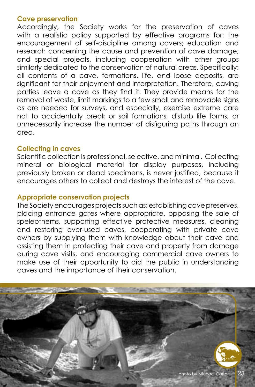#### **Cave preservation**

Accordingly, the Society works for the preservation of caves with a realistic policy supported by effective programs for: the encouragement of self-discipline among cavers; education and research concerning the cause and prevention of cave damage; and special projects, including cooperation with other groups similarly dedicated to the conservation of natural areas. Specifically: all contents of a cave, formations, life, and loose deposits, are significant for their enjoyment and interpretation. Therefore, caving parties leave a cave as they find it. They provide means for the removal of waste, limit markings to a few small and removable signs as are needed for surveys, and especially, exercise extreme care not to accidentally break or soil formations, disturb life forms, or unnecessarily increase the number of disfiguring paths through an area.

#### **Collecting in caves**

Scientific collection is professional, selective, and minimal. Collecting mineral or biological material for display purposes, including previously broken or dead specimens, is never justified, because it encourages others to collect and destroys the interest of the cave.

#### **Appropriate conservation projects**

The Society encourages projects such as: establishing cave preserves, placing entrance gates where appropriate, opposing the sale of speleothems, supporting effective protective measures, cleaning and restoring over-used caves, cooperating with private cave owners by supplying them with knowledge about their cave and assisting them in protecting their cave and property from damage during cave visits, and encouraging commercial cave owners to make use of their opportunity to aid the public in understanding caves and the importance of their conservation.

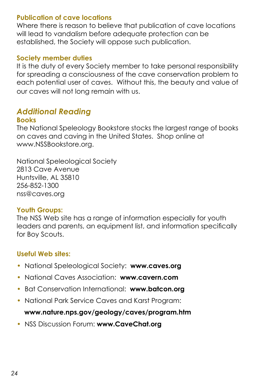## **Publication of cave locations**

Where there is reason to believe that publication of cave locations will lead to vandalism before adequate protection can be established, the Society will oppose such publication.

#### **Society member duties**

It is the duty of every Society member to take personal responsibility for spreading a consciousness of the cave conservation problem to each potential user of caves. Without this, the beauty and value of our caves will not long remain with us.

# *Additional Reading*

#### **Books**

The National Speleology Bookstore stocks the largest range of books on caves and caving in the United States. Shop online at www.NSSBookstore.org.

National Speleological Society 2813 Cave Avenue Huntsville, AL 35810 256-852-1300 nss@caves.org

## **Youth Groups:**

The NSS Web site has a range of information especially for youth leaders and parents, an equipment list, and information specifically for Boy Scouts.

## **Useful Web sites:**

- National Speleological Society: **www.caves.org**
- National Caves Association: **www.cavern.com**
- Bat Conservation International: **www.batcon.org**
- National Park Service Caves and Karst Program:

# **www.nature.nps.gov/geology/caves/program.htm**

• NSS Discussion Forum: **www.CaveChat.org**